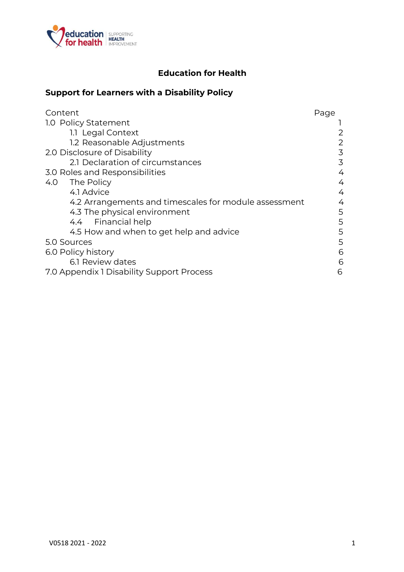

# **Education for Health**

# **Support for Learners with a Disability Policy**

| Content                                               | Page |
|-------------------------------------------------------|------|
| 1.0 Policy Statement                                  |      |
| 1.1 Legal Context                                     |      |
| 1.2 Reasonable Adjustments                            | 2    |
| 2.0 Disclosure of Disability                          | 3    |
| 2.1 Declaration of circumstances                      | 3    |
| 3.0 Roles and Responsibilities                        | 4    |
| The Policy<br>4.0                                     | 4    |
| 4.1 Advice                                            | 4    |
| 4.2 Arrangements and timescales for module assessment | 4    |
| 4.3 The physical environment                          | 5    |
| 4.4 Financial help                                    | 5    |
| 4.5 How and when to get help and advice               | 5    |
| 5.0 Sources                                           | 5    |
| 6.0 Policy history                                    | 6    |
| 6.1 Review dates                                      | 6    |
| 7.0 Appendix 1 Disability Support Process             | 6    |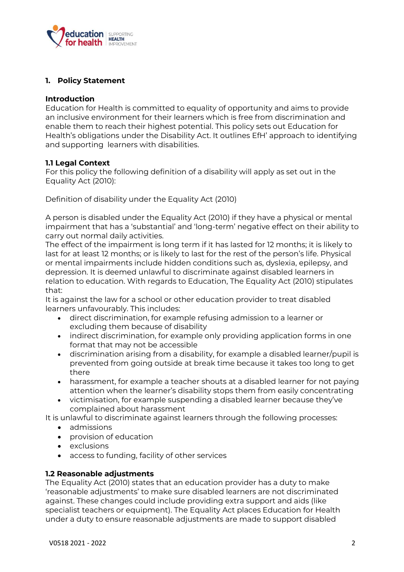

### **1. Policy Statement**

#### **Introduction**

Education for Health is committed to equality of opportunity and aims to provide an inclusive environment for their learners which is free from discrimination and enable them to reach their highest potential. This policy sets out Education for Health's obligations under the Disability Act. It outlines EfH' approach to identifying and supporting learners with disabilities.

#### **1.1 Legal Context**

For this policy the following definition of a disability will apply as set out in the Equality Act (2010):

Definition of disability under the Equality Act (2010)

A person is disabled under the Equality Act (2010) if they have a physical or mental impairment that has a 'substantial' and 'long-term' negative effect on their ability to carry out normal daily activities.

The effect of the impairment is long term if it has lasted for 12 months; it is likely to last for at least 12 months; or is likely to last for the rest of the person's life. Physical or mental impairments include hidden conditions such as, dyslexia, epilepsy, and depression. It is deemed unlawful to discriminate against disabled learners in relation to education. With regards to Education, The Equality Act (2010) stipulates that:

It is against the law for a school or other education provider to treat disabled learners unfavourably. This includes:

- direct discrimination, for example refusing admission to a learner or excluding them because of disability
- indirect discrimination, for example only providing application forms in one format that may not be accessible
- discrimination arising from a disability, for example a disabled learner/pupil is prevented from going outside at break time because it takes too long to get there
- harassment, for example a teacher shouts at a disabled learner for not paying attention when the learner's disability stops them from easily concentrating
- victimisation, for example suspending a disabled learner because they've complained about harassment

It is unlawful to discriminate against learners through the following processes:

- admissions
- provision of education
- exclusions
- access to funding, facility of other services

#### **1.2 Reasonable adjustments**

The Equality Act (2010) states that an education provider has a duty to make 'reasonable adjustments' to make sure disabled learners are not discriminated against. These changes could include providing extra support and aids (like specialist teachers or equipment). The Equality Act places Education for Health under a duty to ensure reasonable adjustments are made to support disabled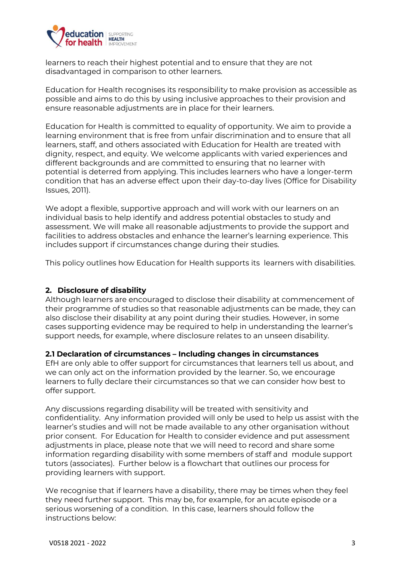

learners to reach their highest potential and to ensure that they are not disadvantaged in comparison to other learners.

Education for Health recognises its responsibility to make provision as accessible as possible and aims to do this by using inclusive approaches to their provision and ensure reasonable adjustments are in place for their learners.

Education for Health is committed to equality of opportunity. We aim to provide a learning environment that is free from unfair discrimination and to ensure that all learners, staff, and others associated with Education for Health are treated with dignity, respect, and equity. We welcome applicants with varied experiences and different backgrounds and are committed to ensuring that no learner with potential is deterred from applying. This includes learners who have a longer-term condition that has an adverse effect upon their day-to-day lives (Office for Disability Issues, 2011).

We adopt a flexible, supportive approach and will work with our learners on an individual basis to help identify and address potential obstacles to study and assessment. We will make all reasonable adjustments to provide the support and facilities to address obstacles and enhance the learner's learning experience. This includes support if circumstances change during their studies.

This policy outlines how Education for Health supports its learners with disabilities.

### **2. Disclosure of disability**

Although learners are encouraged to disclose their disability at commencement of their programme of studies so that reasonable adjustments can be made, they can also disclose their disability at any point during their studies. However, in some cases supporting evidence may be required to help in understanding the learner's support needs, for example, where disclosure relates to an unseen disability.

#### **2.1 Declaration of circumstances – Including changes in circumstances**

EfH are only able to offer support for circumstances that learners tell us about, and we can only act on the information provided by the learner. So, we encourage learners to fully declare their circumstances so that we can consider how best to offer support.

Any discussions regarding disability will be treated with sensitivity and confidentiality. Any information provided will only be used to help us assist with the learner's studies and will not be made available to any other organisation without prior consent. For Education for Health to consider evidence and put assessment adjustments in place, please note that we will need to record and share some information regarding disability with some members of staff and module support tutors (associates). Further below is a flowchart that outlines our process for providing learners with support.

We recognise that if learners have a disability, there may be times when they feel they need further support. This may be, for example, for an acute episode or a serious worsening of a condition. In this case, learners should follow the instructions below: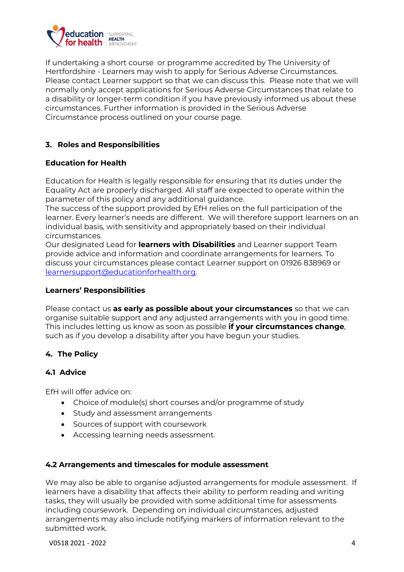

If undertaking a short course or programme accredited by The University of Hertfordshire - Learners may wish to apply for Serious Adverse Circumstances. Please contact Learner support so that we can discuss this. Please note that we will normally only accept applications for Serious Adverse Circumstances that relate to a disability or longer-term condition if you have previously informed us about these circumstances. Further information is provided in the Serious Adverse Circumstance process outlined on your course page.

### **3. Roles and Responsibilities**

### **Education for Health**

Education for Health is legally responsible for ensuring that its duties under the Equality Act are properly discharged. All staff are expected to operate within the parameter of this policy and any additional guidance.

The success of the support provided by EfH relies on the full participation of the learner. Every learner's needs are different. We will therefore support learners on an individual basis, with sensitivity and appropriately based on their individual circumstances.

Our designated Lead for **learners with Disabilities** and Learner support Team provide advice and information and coordinate arrangements for learners. To discuss your circumstances please contact Learner support on 01926 838969 or [learnersupport@educationforhealth.org.](mailto:learnersupport@educationforhealth.org) 

#### **Learners' Responsibilities**

Please contact us **as early as possible about your circumstances** so that we can organise suitable support and any adjusted arrangements with you in good time. This includes letting us know as soon as possible **if your circumstances change**, such as if you develop a disability after you have begun your studies.

## **4. The Policy**

### **4.1 Advice**

EfH will offer advice on:

- Choice of module(s) short courses and/or programme of study
- Study and assessment arrangements
- Sources of support with coursework
- Accessing learning needs assessment.

#### **4.2 Arrangements and timescales for module assessment**

We may also be able to organise adjusted arrangements for module assessment. If learners have a disability that affects their ability to perform reading and writing tasks, they will usually be provided with some additional time for assessments including coursework. Depending on individual circumstances, adjusted arrangements may also include notifying markers of information relevant to the submitted work.

V0518 2021 - 2022 4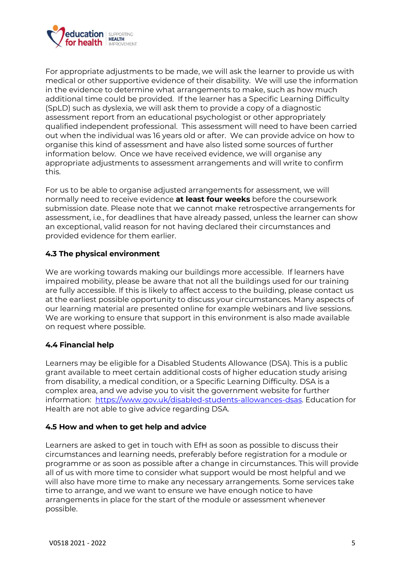

For appropriate adjustments to be made, we will ask the learner to provide us with medical or other supportive evidence of their disability. We will use the information in the evidence to determine what arrangements to make, such as how much additional time could be provided. If the learner has a Specific Learning Difficulty (SpLD) such as dyslexia, we will ask them to provide a copy of a diagnostic assessment report from an educational psychologist or other appropriately qualified independent professional. This assessment will need to have been carried out when the individual was 16 years old or after. We can provide advice on how to organise this kind of assessment and have also listed some sources of further information below. Once we have received evidence, we will organise any appropriate adjustments to assessment arrangements and will write to confirm this.

For us to be able to organise adjusted arrangements for assessment, we will normally need to receive evidence **at least four weeks** before the coursework submission date. Please note that we cannot make retrospective arrangements for assessment, i.e., for deadlines that have already passed, unless the learner can show an exceptional, valid reason for not having declared their circumstances and provided evidence for them earlier.

### **4.3 The physical environment**

We are working towards making our buildings more accessible. If learners have impaired mobility, please be aware that not all the buildings used for our training are fully accessible. If this is likely to affect access to the building, please contact us at the earliest possible opportunity to discuss your circumstances. Many aspects of our learning material are presented online for example webinars and live sessions. We are working to ensure that support in this environment is also made available on request where possible.

### **4.4 Financial help**

Learners may be eligible for a Disabled Students Allowance (DSA). This is a public grant available to meet certain additional costs of higher education study arising from disability, a medical condition, or a Specific Learning Difficulty. DSA is a complex area, and we advise you to visit the government website for further information: [https://www.gov.uk/disabled-students-allowances-dsas.](https://www.gov.uk/disabled-students-allowances-dsas) Education for Health are not able to give advice regarding DSA.

### **4.5 How and when to get help and advice**

Learners are asked to get in touch with EfH as soon as possible to discuss their circumstances and learning needs, preferably before registration for a module or programme or as soon as possible after a change in circumstances. This will provide all of us with more time to consider what support would be most helpful and we will also have more time to make any necessary arrangements. Some services take time to arrange, and we want to ensure we have enough notice to have arrangements in place for the start of the module or assessment whenever possible.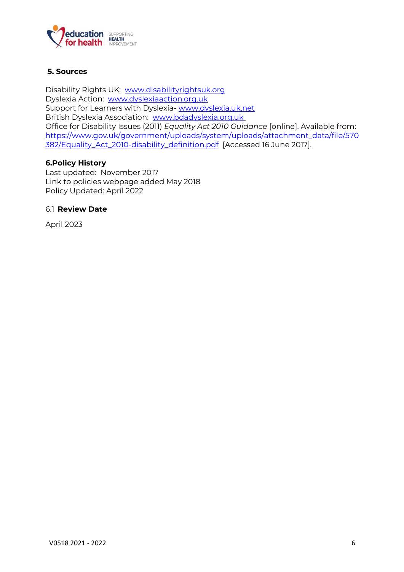

### **5. Sources**

Disability Rights UK: [www.disabilityrightsuk.org](http://www.disabilityrightsuk.org/) Dyslexia Action: [www.dyslexiaaction.org.uk](http://www.dyslexiaaction.org.uk/) Support for Learners with Dyslexia- [www.dyslexia.uk.net](http://www.dyslexia.uk.net/) British Dyslexia Association: [www.bdadyslexia.org.uk](http://www.bdadyslexia.org.uk/) Office for Disability Issues (2011) *Equality Act 2010 Guidance* [online]. Available from: [https://www.gov.uk/government/uploads/system/uploads/attachment\\_data/file/570](https://www.gov.uk/government/uploads/system/uploads/attachment_data/file/570382/Equality_Act_2010-disability_definition.pdf) [382/Equality\\_Act\\_2010-disability\\_definition.pdf](https://www.gov.uk/government/uploads/system/uploads/attachment_data/file/570382/Equality_Act_2010-disability_definition.pdf) [Accessed 16 June 2017].

#### **6.Policy History**

Last updated: November 2017 Link to policies webpage added May 2018 Policy Updated: April 2022

#### 6.1 **Review Date**

April 2023